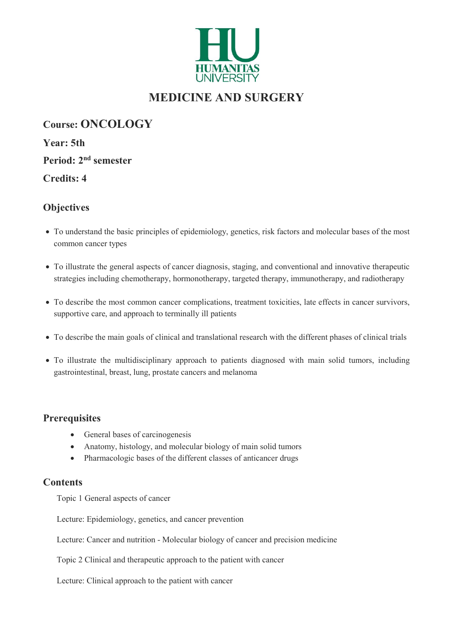

# MEDICINE AND SURGERY

Course: ONCOLOGY Year: 5th Period: 2nd semester Credits: 4

# **Objectives**

- To understand the basic principles of epidemiology, genetics, risk factors and molecular bases of the most common cancer types
- To illustrate the general aspects of cancer diagnosis, staging, and conventional and innovative therapeutic strategies including chemotherapy, hormonotherapy, targeted therapy, immunotherapy, and radiotherapy
- To describe the most common cancer complications, treatment toxicities, late effects in cancer survivors, supportive care, and approach to terminally ill patients
- To describe the main goals of clinical and translational research with the different phases of clinical trials
- To illustrate the multidisciplinary approach to patients diagnosed with main solid tumors, including gastrointestinal, breast, lung, prostate cancers and melanoma

## **Prerequisites**

- General bases of carcinogenesis
- Anatomy, histology, and molecular biology of main solid tumors
- Pharmacologic bases of the different classes of anticancer drugs

#### **Contents**

Topic 1 General aspects of cancer

Lecture: Epidemiology, genetics, and cancer prevention

Lecture: Cancer and nutrition - Molecular biology of cancer and precision medicine

Topic 2 Clinical and therapeutic approach to the patient with cancer

Lecture: Clinical approach to the patient with cancer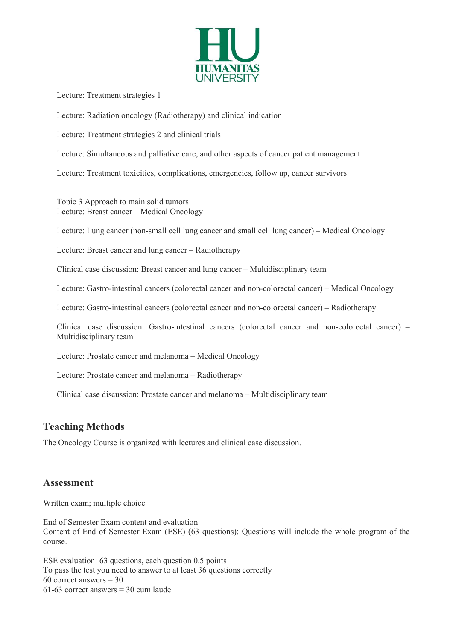

Lecture: Treatment strategies 1

Lecture: Radiation oncology (Radiotherapy) and clinical indication

Lecture: Treatment strategies 2 and clinical trials

Lecture: Simultaneous and palliative care, and other aspects of cancer patient management

Lecture: Treatment toxicities, complications, emergencies, follow up, cancer survivors

Topic 3 Approach to main solid tumors Lecture: Breast cancer – Medical Oncology

Lecture: Lung cancer (non-small cell lung cancer and small cell lung cancer) – Medical Oncology

Lecture: Breast cancer and lung cancer – Radiotherapy

Clinical case discussion: Breast cancer and lung cancer – Multidisciplinary team

Lecture: Gastro-intestinal cancers (colorectal cancer and non-colorectal cancer) – Medical Oncology

Lecture: Gastro-intestinal cancers (colorectal cancer and non-colorectal cancer) – Radiotherapy

Clinical case discussion: Gastro-intestinal cancers (colorectal cancer and non-colorectal cancer) – Multidisciplinary team

Lecture: Prostate cancer and melanoma – Medical Oncology

Lecture: Prostate cancer and melanoma – Radiotherapy

Clinical case discussion: Prostate cancer and melanoma – Multidisciplinary team

## Teaching Methods

The Oncology Course is organized with lectures and clinical case discussion.

#### Assessment

Written exam; multiple choice

End of Semester Exam content and evaluation Content of End of Semester Exam (ESE) (63 questions): Questions will include the whole program of the course.

ESE evaluation: 63 questions, each question 0.5 points To pass the test you need to answer to at least 36 questions correctly 60 correct answers  $= 30$ 61-63 correct answers = 30 cum laude